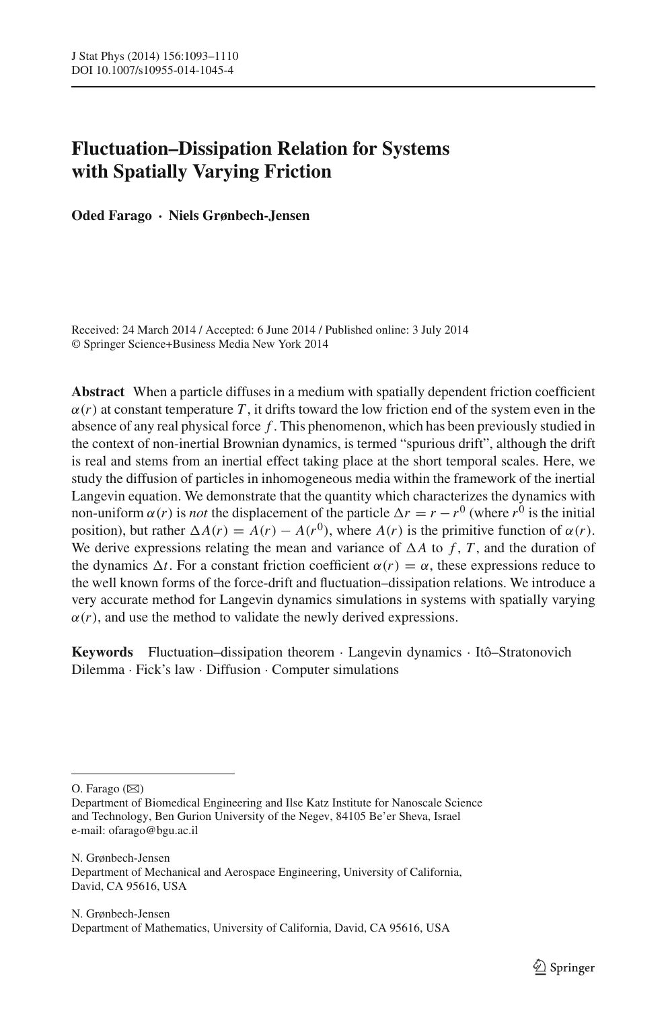# **Fluctuation–Dissipation Relation for Systems with Spatially Varying Friction**

**Oded Farago · Niels Grønbech-Jensen**

Received: 24 March 2014 / Accepted: 6 June 2014 / Published online: 3 July 2014 © Springer Science+Business Media New York 2014

**Abstract** When a particle diffuses in a medium with spatially dependent friction coefficient  $\alpha(r)$  at constant temperature T, it drifts toward the low friction end of the system even in the absence of any real physical force *f* . This phenomenon, which has been previously studied in the context of non-inertial Brownian dynamics, is termed "spurious drift", although the drift is real and stems from an inertial effect taking place at the short temporal scales. Here, we study the diffusion of particles in inhomogeneous media within the framework of the inertial Langevin equation. We demonstrate that the quantity which characterizes the dynamics with non-uniform  $\alpha(r)$  is *not* the displacement of the particle  $\Delta r = r - r^0$  (where  $r^0$  is the initial position), but rather  $\Delta A(r) = A(r) - A(r^0)$ , where  $A(r)$  is the primitive function of  $\alpha(r)$ . We derive expressions relating the mean and variance of  $\Delta A$  to f, T, and the duration of the dynamics  $\Delta t$ . For a constant friction coefficient  $\alpha(r) = \alpha$ , these expressions reduce to the well known forms of the force-drift and fluctuation–dissipation relations. We introduce a very accurate method for Langevin dynamics simulations in systems with spatially varying  $\alpha(r)$ , and use the method to validate the newly derived expressions.

**Keywords** Fluctuation–dissipation theorem · Langevin dynamics · Itô–Stratonovich Dilemma · Fick's law · Diffusion · Computer simulations

O. Farago  $(\boxtimes)$ 

N. Grønbech-Jensen Department of Mechanical and Aerospace Engineering, University of California, David, CA 95616, USA

Department of Biomedical Engineering and Ilse Katz Institute for Nanoscale Science and Technology, Ben Gurion University of the Negev, 84105 Be'er Sheva, Israel e-mail: ofarago@bgu.ac.il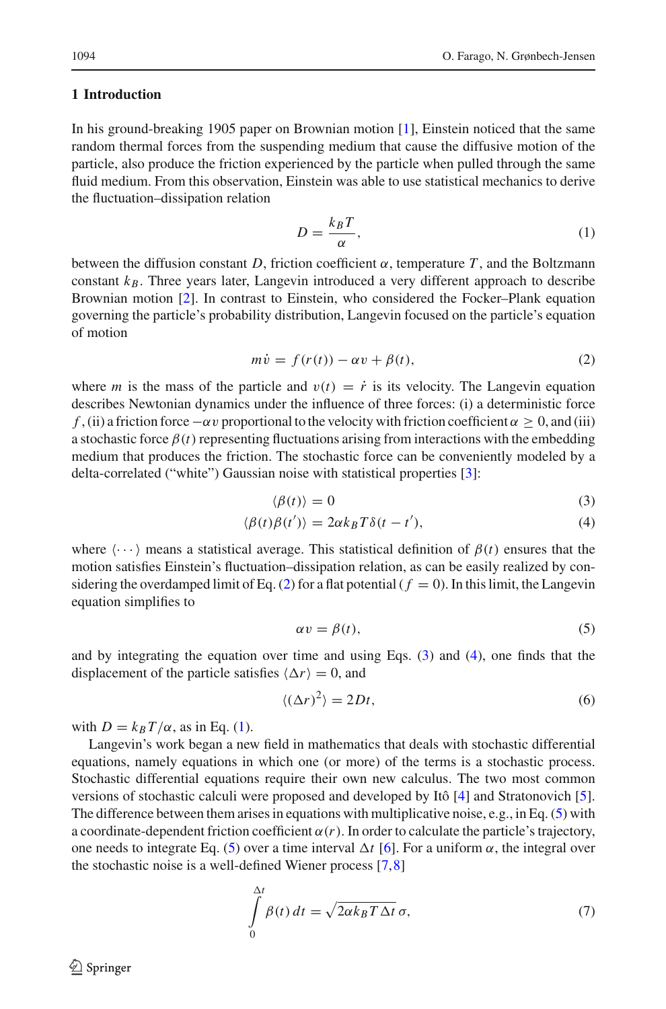## **1 Introduction**

In his ground-breaking 1905 paper on Brownian motion [\[1\]](#page-16-0), Einstein noticed that the same random thermal forces from the suspending medium that cause the diffusive motion of the particle, also produce the friction experienced by the particle when pulled through the same fluid medium. From this observation, Einstein was able to use statistical mechanics to derive the fluctuation–dissipation relation

<span id="page-1-2"></span>
$$
D = \frac{k_B T}{\alpha},\tag{1}
$$

between the diffusion constant *D*, friction coefficient  $\alpha$ , temperature *T*, and the Boltzmann constant  $k_B$ . Three years later, Langevin introduced a very different approach to describe Brownian motion [\[2\]](#page-16-1). In contrast to Einstein, who considered the Focker–Plank equation governing the particle's probability distribution, Langevin focused on the particle's equation of motion

$$
m\dot{v} = f(r(t)) - \alpha v + \beta(t),\tag{2}
$$

<span id="page-1-0"></span>where *m* is the mass of the particle and  $v(t) = \dot{r}$  is its velocity. The Langevin equation describes Newtonian dynamics under the influence of three forces: (i) a deterministic force *f* , (ii) a friction force  $-\alpha v$  proportional to the velocity with friction coefficient  $\alpha > 0$ , and (iii) a stochastic force  $\beta(t)$  representing fluctuations arising from interactions with the embedding medium that produces the friction. The stochastic force can be conveniently modeled by a delta-correlated ("white") Gaussian noise with statistical properties [\[3\]](#page-16-2):

$$
\langle \beta(t) \rangle = 0 \tag{3}
$$

<span id="page-1-1"></span>
$$
\langle \beta(t)\beta(t')\rangle = 2\alpha k_B T \delta(t - t'),\tag{4}
$$

where  $\langle \cdots \rangle$  means a statistical average. This statistical definition of  $\beta(t)$  ensures that the motion satisfies Einstein's fluctuation–dissipation relation, as can be easily realized by considering the overdamped limit of Eq.  $(2)$  for a flat potential  $(f = 0)$ . In this limit, the Langevin equation simplifies to

<span id="page-1-3"></span>
$$
\alpha v = \beta(t),\tag{5}
$$

and by integrating the equation over time and using Eqs. [\(3\)](#page-1-1) and [\(4\)](#page-1-1), one finds that the displacement of the particle satisfies  $\langle \Delta r \rangle = 0$ , and

$$
\langle (\Delta r)^2 \rangle = 2Dt,\tag{6}
$$

<span id="page-1-5"></span>with  $D = k_B T/\alpha$ , as in Eq. [\(1\)](#page-1-2).

Langevin's work began a new field in mathematics that deals with stochastic differential equations, namely equations in which one (or more) of the terms is a stochastic process. Stochastic differential equations require their own new calculus. The two most common versions of stochastic calculi were proposed and developed by Itô [\[4](#page-16-3)] and Stratonovich [\[5\]](#page-16-4). The difference between them arises in equations with multiplicative noise, e.g., in Eq. [\(5\)](#page-1-3) with a coordinate-dependent friction coefficient  $\alpha(r)$ . In order to calculate the particle's trajectory, one needs to integrate Eq. [\(5\)](#page-1-3) over a time interval  $\Delta t$  [\[6](#page-16-5)]. For a uniform  $\alpha$ , the integral over the stochastic noise is a well-defined Wiener process [\[7,](#page-16-6)[8](#page-16-7)]

<span id="page-1-4"></span>
$$
\int_{0}^{\Delta t} \beta(t) dt = \sqrt{2\alpha k_B T \Delta t} \sigma,
$$
\n(7)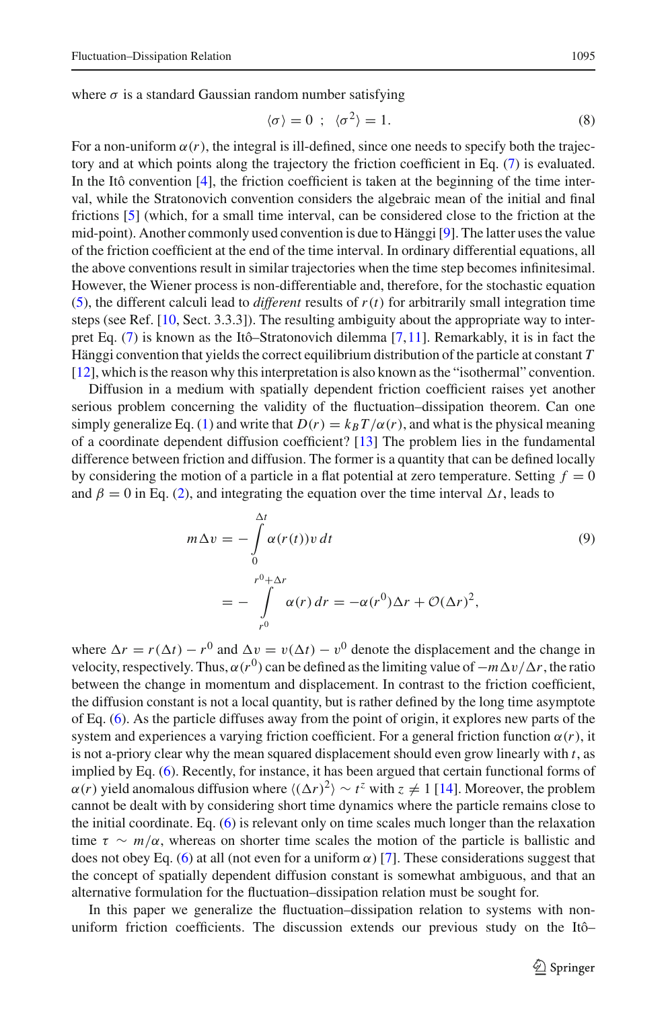$$
\langle \sigma \rangle = 0 \; ; \; \langle \sigma^2 \rangle = 1. \tag{8}
$$

<span id="page-2-0"></span>For a non-uniform  $\alpha(r)$ , the integral is ill-defined, since one needs to specify both the trajectory and at which points along the trajectory the friction coefficient in Eq. [\(7\)](#page-1-4) is evaluated. In the Itô convention [\[4](#page-16-3)], the friction coefficient is taken at the beginning of the time interval, while the Stratonovich convention considers the algebraic mean of the initial and final frictions [\[5](#page-16-4)] (which, for a small time interval, can be considered close to the friction at the mid-point). Another commonly used convention is due to Hänggi [\[9](#page-16-8)]. The latter uses the value of the friction coefficient at the end of the time interval. In ordinary differential equations, all the above conventions result in similar trajectories when the time step becomes infinitesimal. However, the Wiener process is non-differentiable and, therefore, for the stochastic equation [\(5\)](#page-1-3), the different calculi lead to *different* results of  $r(t)$  for arbitrarily small integration time steps (see Ref. [\[10](#page-16-9), Sect. 3.3.3]). The resulting ambiguity about the appropriate way to interpret Eq. [\(7\)](#page-1-4) is known as the Itô–Stratonovich dilemma [\[7](#page-16-6)[,11\]](#page-17-0). Remarkably, it is in fact the Hänggi convention that yields the correct equilibrium distribution of the particle at constant *T* [\[12\]](#page-17-1), which is the reason why this interpretation is also known as the "isothermal" convention.

Diffusion in a medium with spatially dependent friction coefficient raises yet another serious problem concerning the validity of the fluctuation–dissipation theorem. Can one simply generalize Eq. [\(1\)](#page-1-2) and write that  $D(r) = k_B T/\alpha(r)$ , and what is the physical meaning of a coordinate dependent diffusion coefficient? [\[13](#page-17-2)] The problem lies in the fundamental difference between friction and diffusion. The former is a quantity that can be defined locally by considering the motion of a particle in a flat potential at zero temperature. Setting  $f = 0$ and  $\beta = 0$  in Eq. [\(2\)](#page-1-0), and integrating the equation over the time interval  $\Delta t$ , leads to

$$
m\Delta v = -\int_{0}^{\Delta t} \alpha(r(t))v dt
$$
  
= 
$$
-\int_{r^{0}}^{\rho+\Delta r} \alpha(r) dr = -\alpha(r^{0})\Delta r + \mathcal{O}(\Delta r)^{2},
$$
 (9)

<span id="page-2-1"></span>where  $\Delta r = r(\Delta t) - r^0$  and  $\Delta v = v(\Delta t) - v^0$  denote the displacement and the change in velocity, respectively. Thus,  $\alpha(r^0)$  can be defined as the limiting value of  $-m\Delta v/\Delta r$ , the ratio between the change in momentum and displacement. In contrast to the friction coefficient, the diffusion constant is not a local quantity, but is rather defined by the long time asymptote of Eq. [\(6\)](#page-1-5). As the particle diffuses away from the point of origin, it explores new parts of the system and experiences a varying friction coefficient. For a general friction function  $\alpha(r)$ , it is not a-priory clear why the mean squared displacement should even grow linearly with *t*, as implied by Eq. [\(6\)](#page-1-5). Recently, for instance, it has been argued that certain functional forms of  $\alpha(r)$  yield anomalous diffusion where  $\langle (\Delta r)^2 \rangle \sim t^z$  with  $z \neq 1$  [\[14](#page-17-3)]. Moreover, the problem cannot be dealt with by considering short time dynamics where the particle remains close to the initial coordinate. Eq. [\(6\)](#page-1-5) is relevant only on time scales much longer than the relaxation time  $\tau \sim m/\alpha$ , whereas on shorter time scales the motion of the particle is ballistic and does not obey Eq. [\(6\)](#page-1-5) at all (not even for a uniform  $\alpha$ ) [\[7\]](#page-16-6). These considerations suggest that the concept of spatially dependent diffusion constant is somewhat ambiguous, and that an alternative formulation for the fluctuation–dissipation relation must be sought for.

In this paper we generalize the fluctuation–dissipation relation to systems with nonuniform friction coefficients. The discussion extends our previous study on the Itô–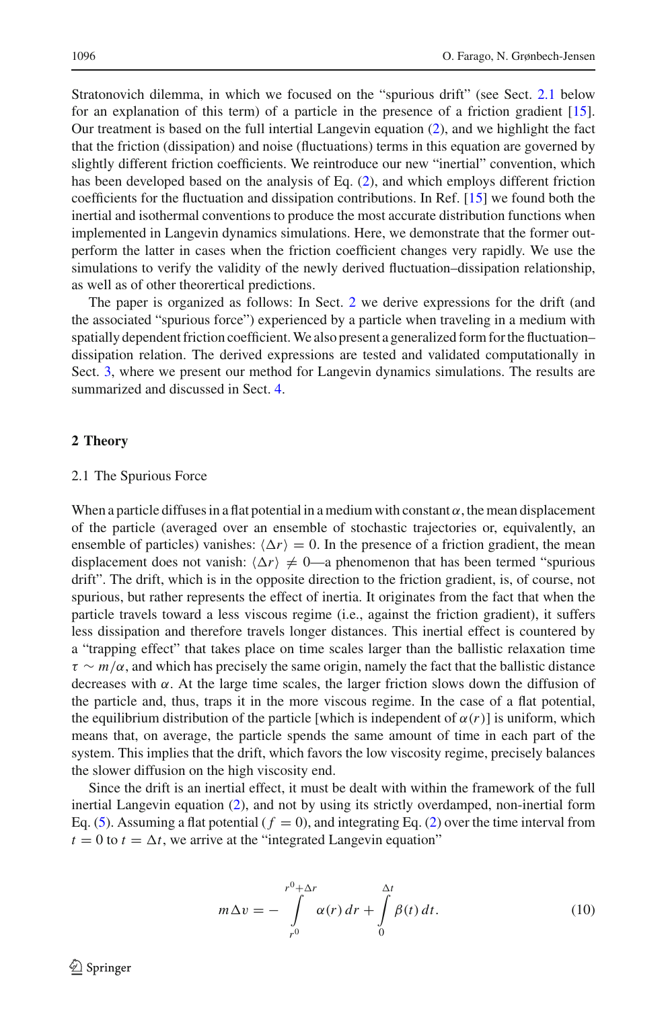Stratonovich dilemma, in which we focused on the "spurious drift" (see Sect. [2.1](#page-3-0) below for an explanation of this term) of a particle in the presence of a friction gradient [\[15\]](#page-17-4). Our treatment is based on the full intertial Langevin equation [\(2\)](#page-1-0), and we highlight the fact that the friction (dissipation) and noise (fluctuations) terms in this equation are governed by slightly different friction coefficients. We reintroduce our new "inertial" convention, which has been developed based on the analysis of Eq. [\(2\)](#page-1-0), and which employs different friction coefficients for the fluctuation and dissipation contributions. In Ref. [\[15\]](#page-17-4) we found both the inertial and isothermal conventions to produce the most accurate distribution functions when implemented in Langevin dynamics simulations. Here, we demonstrate that the former outperform the latter in cases when the friction coefficient changes very rapidly. We use the simulations to verify the validity of the newly derived fluctuation–dissipation relationship, as well as of other theorertical predictions.

The paper is organized as follows: In Sect. [2](#page-3-1) we derive expressions for the drift (and the associated "spurious force") experienced by a particle when traveling in a medium with spatially dependent friction coefficient. We also present a generalized form for the fluctuation– dissipation relation. The derived expressions are tested and validated computationally in Sect. [3,](#page-9-0) where we present our method for Langevin dynamics simulations. The results are summarized and discussed in Sect. [4.](#page-15-0)

## <span id="page-3-1"></span>**2 Theory**

### <span id="page-3-0"></span>2.1 The Spurious Force

When a particle diffuses in a flat potential in a medium with constant  $\alpha$ , the mean displacement of the particle (averaged over an ensemble of stochastic trajectories or, equivalently, an ensemble of particles) vanishes:  $\langle \Delta r \rangle = 0$ . In the presence of a friction gradient, the mean displacement does not vanish:  $\langle \Delta r \rangle \neq 0$ —a phenomenon that has been termed "spurious" drift". The drift, which is in the opposite direction to the friction gradient, is, of course, not spurious, but rather represents the effect of inertia. It originates from the fact that when the particle travels toward a less viscous regime (i.e., against the friction gradient), it suffers less dissipation and therefore travels longer distances. This inertial effect is countered by a "trapping effect" that takes place on time scales larger than the ballistic relaxation time τ ∼ *m*/α, and which has precisely the same origin, namely the fact that the ballistic distance decreases with  $\alpha$ . At the large time scales, the larger friction slows down the diffusion of the particle and, thus, traps it in the more viscous regime. In the case of a flat potential, the equilibrium distribution of the particle [which is independent of  $\alpha(r)$ ] is uniform, which means that, on average, the particle spends the same amount of time in each part of the system. This implies that the drift, which favors the low viscosity regime, precisely balances the slower diffusion on the high viscosity end.

Since the drift is an inertial effect, it must be dealt with within the framework of the full inertial Langevin equation [\(2\)](#page-1-0), and not by using its strictly overdamped, non-inertial form Eq. [\(5\)](#page-1-3). Assuming a flat potential  $(f = 0)$ , and integrating Eq. [\(2\)](#page-1-0) over the time interval from  $t = 0$  to  $t = \Delta t$ , we arrive at the "integrated Langevin equation"

<span id="page-3-2"></span>
$$
m\Delta v = -\int_{r^0}^{r^0 + \Delta r} \alpha(r) dr + \int_{0}^{\Delta t} \beta(t) dt.
$$
 (10)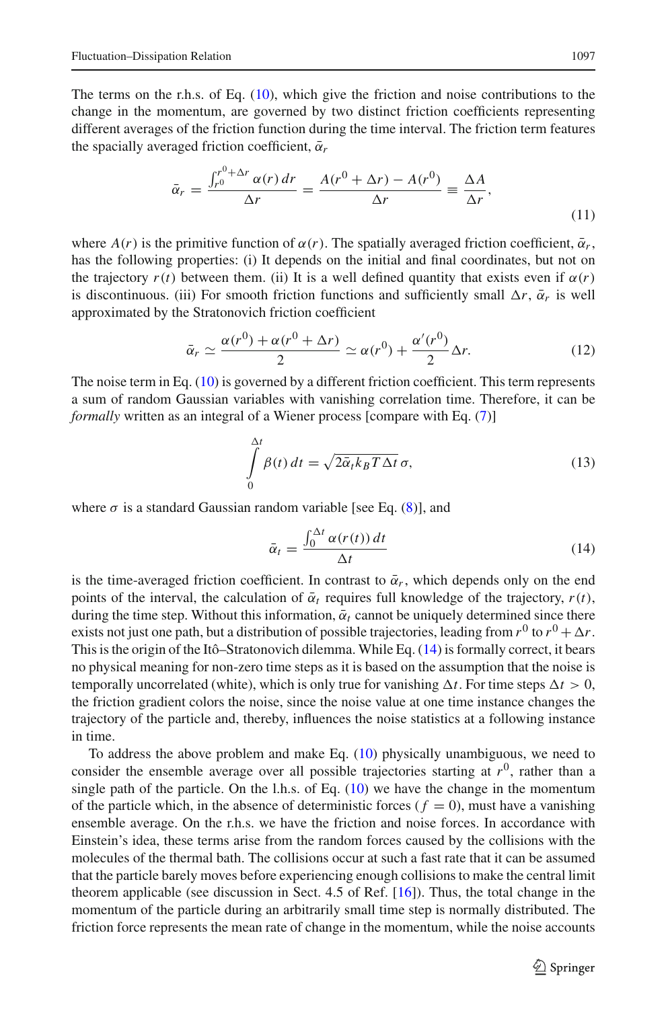The terms on the r.h.s. of Eq. [\(10\)](#page-3-2), which give the friction and noise contributions to the change in the momentum, are governed by two distinct friction coefficients representing different averages of the friction function during the time interval. The friction term features the spacially averaged friction coefficient,  $\bar{\alpha}_r$ 

$$
\bar{\alpha}_r = \frac{\int_{r_0}^{r_0 + \Delta r} \alpha(r) dr}{\Delta r} = \frac{A(r_0 + \Delta r) - A(r_0)}{\Delta r} \equiv \frac{\Delta A}{\Delta r},\tag{11}
$$

<span id="page-4-1"></span>where  $A(r)$  is the primitive function of  $\alpha(r)$ . The spatially averaged friction coefficient,  $\bar{\alpha}_r$ , has the following properties: (i) It depends on the initial and final coordinates, but not on the trajectory  $r(t)$  between them. (ii) It is a well defined quantity that exists even if  $\alpha(r)$ is discontinuous. (iii) For smooth friction functions and sufficiently small  $\Delta r$ ,  $\bar{\alpha}_r$  is well approximated by the Stratonovich friction coefficient

$$
\bar{\alpha}_r \simeq \frac{\alpha(r^0) + \alpha(r^0 + \Delta r)}{2} \simeq \alpha(r^0) + \frac{\alpha'(r^0)}{2} \Delta r.
$$
 (12)

<span id="page-4-2"></span>The noise term in Eq. [\(10\)](#page-3-2) is governed by a different friction coefficient. This term represents a sum of random Gaussian variables with vanishing correlation time. Therefore, it can be *formally* written as an integral of a Wiener process [compare with Eq. [\(7\)](#page-1-4)]

$$
\int_{0}^{\Delta t} \beta(t) dt = \sqrt{2\bar{\alpha}_t k_B T \Delta t} \,\sigma,\tag{13}
$$

<span id="page-4-3"></span>where  $\sigma$  is a standard Gaussian random variable [see Eq. [\(8\)](#page-2-0)], and

$$
\bar{\alpha}_t = \frac{\int_0^{\Delta t} \alpha(r(t)) \, dt}{\Delta t} \tag{14}
$$

<span id="page-4-0"></span>is the time-averaged friction coefficient. In contrast to  $\bar{\alpha}_r$ , which depends only on the end points of the interval, the calculation of  $\bar{\alpha}_t$  requires full knowledge of the trajectory,  $r(t)$ , during the time step. Without this information,  $\bar{\alpha}_t$  cannot be uniquely determined since there exists not just one path, but a distribution of possible trajectories, leading from  $r^0$  to  $r^0 + \Delta r$ . This is the origin of the Itô–Stratonovich dilemma. While Eq. [\(14\)](#page-4-0) is formally correct, it bears no physical meaning for non-zero time steps as it is based on the assumption that the noise is temporally uncorrelated (white), which is only true for vanishing  $\Delta t$ . For time steps  $\Delta t > 0$ , the friction gradient colors the noise, since the noise value at one time instance changes the trajectory of the particle and, thereby, influences the noise statistics at a following instance in time.

To address the above problem and make Eq. [\(10\)](#page-3-2) physically unambiguous, we need to consider the ensemble average over all possible trajectories starting at  $r<sup>0</sup>$ , rather than a single path of the particle. On the l.h.s. of Eq.  $(10)$  we have the change in the momentum of the particle which, in the absence of deterministic forces  $(f = 0)$ , must have a vanishing ensemble average. On the r.h.s. we have the friction and noise forces. In accordance with Einstein's idea, these terms arise from the random forces caused by the collisions with the molecules of the thermal bath. The collisions occur at such a fast rate that it can be assumed that the particle barely moves before experiencing enough collisions to make the central limit theorem applicable (see discussion in Sect. 4.5 of Ref. [\[16\]](#page-17-5)). Thus, the total change in the momentum of the particle during an arbitrarily small time step is normally distributed. The friction force represents the mean rate of change in the momentum, while the noise accounts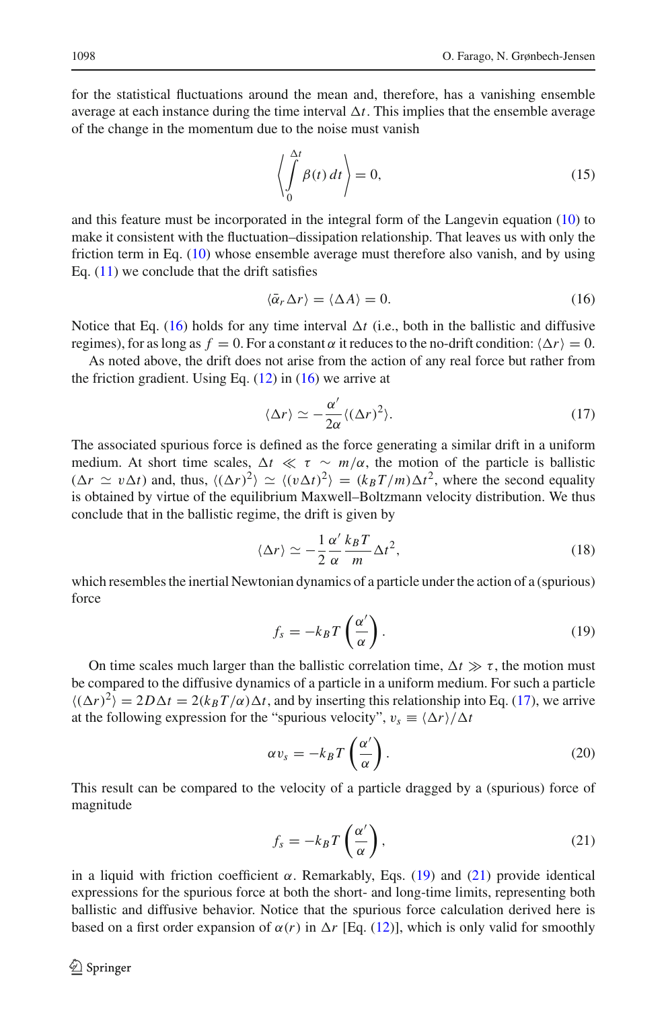for the statistical fluctuations around the mean and, therefore, has a vanishing ensemble average at each instance during the time interval  $\Delta t$ . This implies that the ensemble average of the change in the momentum due to the noise must vanish

$$
\left\langle \int_{0}^{\Delta t} \beta(t) dt \right\rangle = 0, \tag{15}
$$

<span id="page-5-4"></span>and this feature must be incorporated in the integral form of the Langevin equation [\(10\)](#page-3-2) to make it consistent with the fluctuation–dissipation relationship. That leaves us with only the friction term in Eq. [\(10\)](#page-3-2) whose ensemble average must therefore also vanish, and by using Eq.  $(11)$  we conclude that the drift satisfies

$$
\langle \bar{\alpha}_r \Delta r \rangle = \langle \Delta A \rangle = 0. \tag{16}
$$

<span id="page-5-0"></span>Notice that Eq. [\(16\)](#page-5-0) holds for any time interval  $\Delta t$  (i.e., both in the ballistic and diffusive regimes), for as long as  $f = 0$ . For a constant  $\alpha$  it reduces to the no-drift condition:  $\langle \Delta r \rangle = 0$ .

As noted above, the drift does not arise from the action of any real force but rather from the friction gradient. Using Eq.  $(12)$  in  $(16)$  we arrive at

$$
\langle \Delta r \rangle \simeq -\frac{\alpha'}{2\alpha} \langle (\Delta r)^2 \rangle. \tag{17}
$$

<span id="page-5-1"></span>The associated spurious force is defined as the force generating a similar drift in a uniform medium. At short time scales,  $\Delta t \ll \tau \sim m/\alpha$ , the motion of the particle is ballistic  $(\Delta r \simeq v \Delta t)$  and, thus,  $\langle (\Delta r)^2 \rangle \simeq \langle (v \Delta t)^2 \rangle = (k_B T/m) \Delta t^2$ , where the second equality is obtained by virtue of the equilibrium Maxwell–Boltzmann velocity distribution. We thus conclude that in the ballistic regime, the drift is given by

$$
\langle \Delta r \rangle \simeq -\frac{1}{2} \frac{\alpha'}{\alpha} \frac{k_B T}{m} \Delta t^2,\tag{18}
$$

which resembles the inertial Newtonian dynamics of a particle under the action of a (spurious) force

$$
f_s = -k_B T \left(\frac{\alpha'}{\alpha}\right). \tag{19}
$$

<span id="page-5-2"></span>On time scales much larger than the ballistic correlation time,  $\Delta t \gg \tau$ , the motion must be compared to the diffusive dynamics of a particle in a uniform medium. For such a particle  $\langle (\Delta r)^2 \rangle = 2D\Delta t = 2(k_BT/\alpha)\Delta t$ , and by inserting this relationship into Eq. [\(17\)](#page-5-1), we arrive at the following expression for the "spurious velocity",  $v_s \equiv \frac{\langle \Delta r \rangle}{\Delta t}$ 

$$
\alpha v_s = -k_B T \left(\frac{\alpha'}{\alpha}\right). \tag{20}
$$

This result can be compared to the velocity of a particle dragged by a (spurious) force of magnitude

$$
f_s = -k_B T\left(\frac{\alpha'}{\alpha}\right),\tag{21}
$$

<span id="page-5-3"></span>in a liquid with friction coefficient  $\alpha$ . Remarkably, Eqs. [\(19\)](#page-5-2) and [\(21\)](#page-5-3) provide identical expressions for the spurious force at both the short- and long-time limits, representing both ballistic and diffusive behavior. Notice that the spurious force calculation derived here is based on a first order expansion of  $\alpha(r)$  in  $\Delta r$  [Eq. [\(12\)](#page-4-2)], which is only valid for smoothly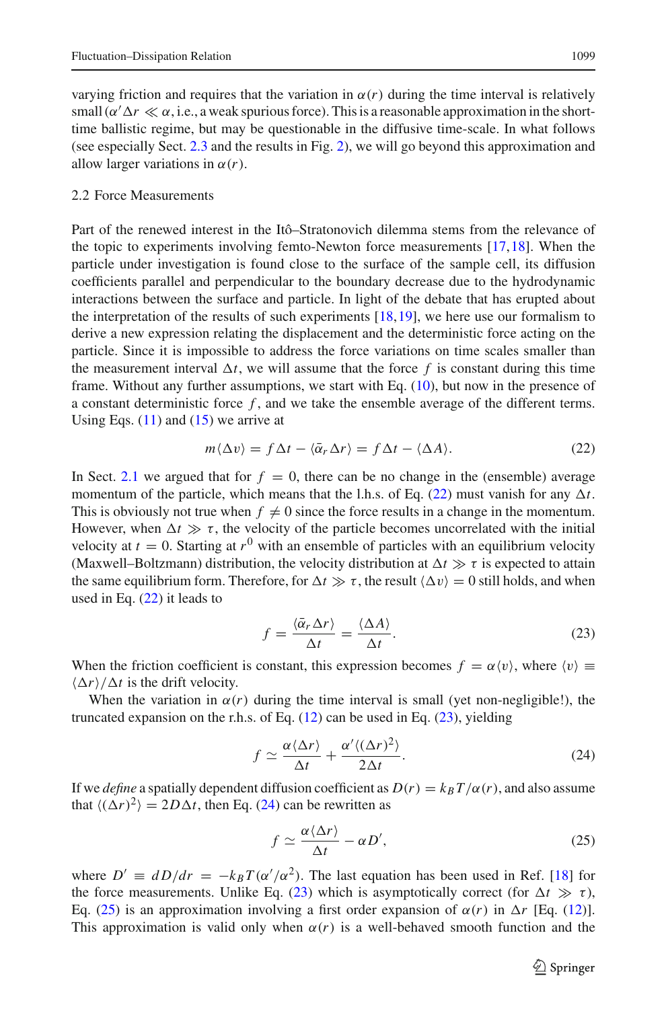varying friction and requires that the variation in  $\alpha(r)$  during the time interval is relatively small ( $\alpha' \Delta r \ll \alpha$ , i.e., a weak spurious force). This is a reasonable approximation in the shorttime ballistic regime, but may be questionable in the diffusive time-scale. In what follows (see especially Sect. [2.3](#page-7-0) and the results in Fig. [2\)](#page-12-0), we will go beyond this approximation and allow larger variations in  $\alpha(r)$ .

## 2.2 Force Measurements

Part of the renewed interest in the Itô–Stratonovich dilemma stems from the relevance of the topic to experiments involving femto-Newton force measurements  $[17,18]$  $[17,18]$ . When the particle under investigation is found close to the surface of the sample cell, its diffusion coefficients parallel and perpendicular to the boundary decrease due to the hydrodynamic interactions between the surface and particle. In light of the debate that has erupted about the interpretation of the results of such experiments  $[18,19]$  $[18,19]$  $[18,19]$ , we here use our formalism to derive a new expression relating the displacement and the deterministic force acting on the particle. Since it is impossible to address the force variations on time scales smaller than the measurement interval  $\Delta t$ , we will assume that the force f is constant during this time frame. Without any further assumptions, we start with Eq. [\(10\)](#page-3-2), but now in the presence of a constant deterministic force *f* , and we take the ensemble average of the different terms. Using Eqs.  $(11)$  and  $(15)$  we arrive at

$$
m\langle \Delta v \rangle = f \Delta t - \langle \bar{\alpha}_r \Delta r \rangle = f \Delta t - \langle \Delta A \rangle.
$$
 (22)

<span id="page-6-0"></span>In Sect. [2.1](#page-3-0) we argued that for  $f = 0$ , there can be no change in the (ensemble) average momentum of the particle, which means that the l.h.s. of Eq.  $(22)$  must vanish for any  $\Delta t$ . This is obviously not true when  $f \neq 0$  since the force results in a change in the momentum. However, when  $\Delta t \gg \tau$ , the velocity of the particle becomes uncorrelated with the initial velocity at  $t = 0$ . Starting at  $r^0$  with an ensemble of particles with an equilibrium velocity (Maxwell–Boltzmann) distribution, the velocity distribution at  $\Delta t \gg \tau$  is expected to attain the same equilibrium form. Therefore, for  $\Delta t \gg \tau$ , the result  $\langle \Delta v \rangle = 0$  still holds, and when used in Eq. [\(22\)](#page-6-0) it leads to

$$
f = \frac{\langle \bar{\alpha}_r \Delta r \rangle}{\Delta t} = \frac{\langle \Delta A \rangle}{\Delta t}.
$$
 (23)

<span id="page-6-1"></span>When the friction coefficient is constant, this expression becomes  $f = \alpha \langle v \rangle$ , where  $\langle v \rangle \equiv$  $\langle \Delta r \rangle / \Delta t$  is the drift velocity.

When the variation in  $\alpha(r)$  during the time interval is small (yet non-negligible!), the truncated expansion on the r.h.s. of Eq.  $(12)$  can be used in Eq.  $(23)$ , yielding

$$
f \simeq \frac{\alpha \langle \Delta r \rangle}{\Delta t} + \frac{\alpha' \langle (\Delta r)^2 \rangle}{2\Delta t}.
$$
 (24)

<span id="page-6-2"></span>If we *define* a spatially dependent diffusion coefficient as  $D(r) = k_B T/\alpha(r)$ , and also assume that  $\langle (\Delta r)^2 \rangle = 2D\Delta t$ , then Eq. [\(24\)](#page-6-2) can be rewritten as

$$
f \simeq \frac{\alpha \langle \Delta r \rangle}{\Delta t} - \alpha D', \tag{25}
$$

<span id="page-6-3"></span>where  $D' \equiv dD/dr = -k_BT(\alpha'/\alpha^2)$ . The last equation has been used in Ref. [\[18](#page-17-7)] for the force measurements. Unlike Eq. [\(23\)](#page-6-1) which is asymptotically correct (for  $\Delta t \gg \tau$ ), Eq. [\(25\)](#page-6-3) is an approximation involving a first order expansion of  $\alpha(r)$  in  $\Delta r$  [Eq. [\(12\)](#page-4-2)]. This approximation is valid only when  $\alpha(r)$  is a well-behaved smooth function and the

 $\mathcal{L}$  Springer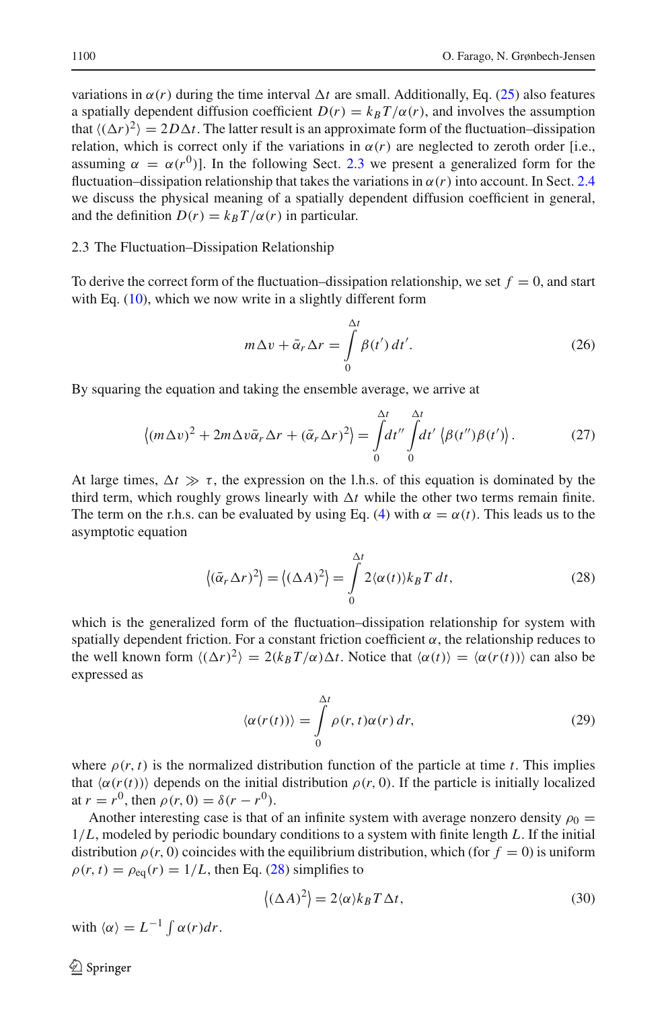variations in  $\alpha(r)$  during the time interval  $\Delta t$  are small. Additionally, Eq. [\(25\)](#page-6-3) also features a spatially dependent diffusion coefficient  $D(r) = k_B T/\alpha(r)$ , and involves the assumption that  $\langle (\Delta r)^2 \rangle = 2D\Delta t$ . The latter result is an approximate form of the fluctuation–dissipation relation, which is correct only if the variations in  $\alpha(r)$  are neglected to zeroth order [i.e., assuming  $\alpha = \alpha(r^0)$ . In the following Sect. [2.3](#page-7-0) we present a generalized form for the fluctuation–dissipation relationship that takes the variations in  $\alpha(r)$  into account. In Sect. [2.4](#page-8-0) we discuss the physical meaning of a spatially dependent diffusion coefficient in general, and the definition  $D(r) = k_B T/\alpha(r)$  in particular.

#### <span id="page-7-0"></span>2.3 The Fluctuation–Dissipation Relationship

To derive the correct form of the fluctuation–dissipation relationship, we set  $f = 0$ , and start with Eq. [\(10\)](#page-3-2), which we now write in a slightly different form

$$
m\Delta v + \bar{\alpha}_r \Delta r = \int\limits_0^{\Delta t} \beta(t') dt'.
$$
 (26)

By squaring the equation and taking the ensemble average, we arrive at

$$
\langle (m\Delta v)^2 + 2m\Delta v \bar{\alpha}_r \Delta r + (\bar{\alpha}_r \Delta r)^2 \rangle = \int_0^{\Delta t} dt'' \int_0^{\Delta t} dt' \langle \beta(t'')\beta(t') \rangle.
$$
 (27)

At large times,  $\Delta t \gg \tau$ , the expression on the l.h.s. of this equation is dominated by the third term, which roughly grows linearly with  $\Delta t$  while the other two terms remain finite. The term on the r.h.s. can be evaluated by using Eq. [\(4\)](#page-1-1) with  $\alpha = \alpha(t)$ . This leads us to the asymptotic equation

$$
\langle (\bar{\alpha}_r \Delta r)^2 \rangle = \langle (\Delta A)^2 \rangle = \int_0^{\Delta t} 2 \langle \alpha(t) \rangle k_B T \, dt, \tag{28}
$$

<span id="page-7-1"></span>which is the generalized form of the fluctuation–dissipation relationship for system with spatially dependent friction. For a constant friction coefficient  $\alpha$ , the relationship reduces to the well known form  $\langle (\Delta r)^2 \rangle = 2(k_B T/\alpha) \Delta t$ . Notice that  $\langle \alpha(t) \rangle = \langle \alpha(r(t)) \rangle$  can also be expressed as

$$
\langle \alpha(r(t)) \rangle = \int_{0}^{\Delta t} \rho(r, t) \alpha(r) \, dr,\tag{29}
$$

<span id="page-7-2"></span>where  $\rho(r, t)$  is the normalized distribution function of the particle at time *t*. This implies that  $\langle \alpha(r(t)) \rangle$  depends on the initial distribution  $\rho(r, 0)$ . If the particle is initially localized at  $r = r^0$ , then  $\rho(r, 0) = \delta(r - r^0)$ .

Another interesting case is that of an infinite system with average nonzero density  $\rho_0 =$ 1/*L*, modeled by periodic boundary conditions to a system with finite length *L*. If the initial distribution  $\rho(r, 0)$  coincides with the equilibrium distribution, which (for  $f = 0$ ) is uniform  $\rho(r, t) = \rho_{eq}(r) = 1/L$ , then Eq. [\(28\)](#page-7-1) simplifies to

$$
\langle (\Delta A)^2 \rangle = 2 \langle \alpha \rangle k_B T \Delta t, \qquad (30)
$$

with  $\langle \alpha \rangle = L^{-1} \int \alpha(r) dr$ .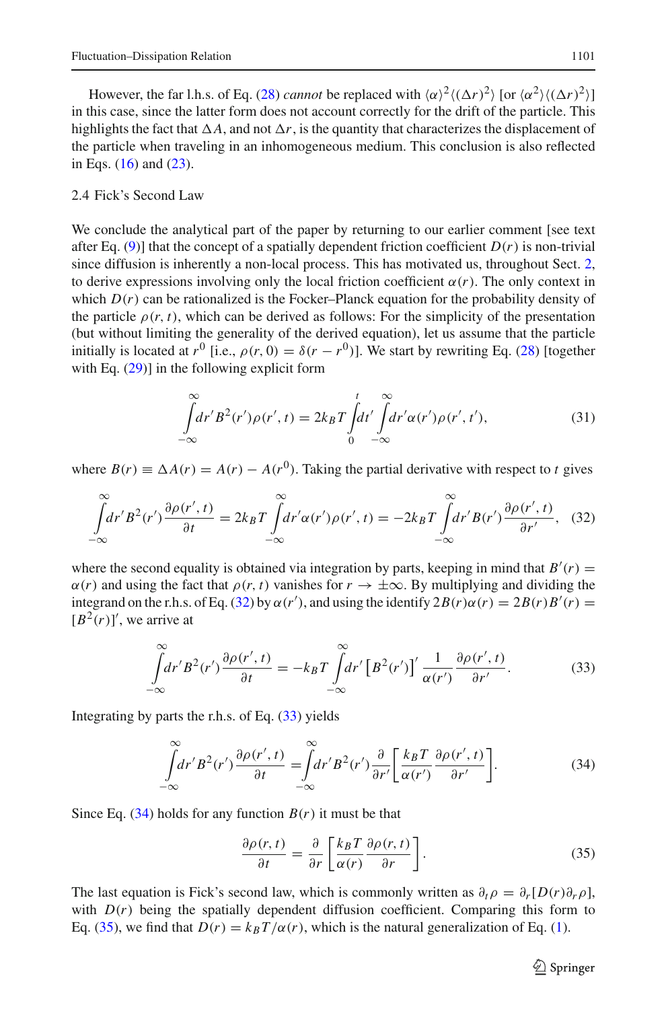However, the far l.h.s. of Eq. [\(28\)](#page-7-1) *cannot* be replaced with  $\langle \alpha \rangle^2 \langle (\Delta r)^2 \rangle$  [or  $\langle \alpha^2 \rangle \langle (\Delta r)^2 \rangle$ ] in this case, since the latter form does not account correctly for the drift of the particle. This highlights the fact that  $\Delta A$ , and not  $\Delta r$ , is the quantity that characterizes the displacement of the particle when traveling in an inhomogeneous medium. This conclusion is also reflected in Eqs. [\(16\)](#page-5-0) and [\(23\)](#page-6-1).

## <span id="page-8-0"></span>2.4 Fick's Second Law

We conclude the analytical part of the paper by returning to our earlier comment [see text after Eq. [\(9\)](#page-2-1)] that the concept of a spatially dependent friction coefficient  $D(r)$  is non-trivial since diffusion is inherently a non-local process. This has motivated us, throughout Sect. [2,](#page-3-1) to derive expressions involving only the local friction coefficient  $\alpha(r)$ . The only context in which  $D(r)$  can be rationalized is the Focker–Planck equation for the probability density of the particle  $\rho(r, t)$ , which can be derived as follows: For the simplicity of the presentation (but without limiting the generality of the derived equation), let us assume that the particle initially is located at  $r^0$  [i.e.,  $\rho(r, 0) = \delta(r - r^0)$ ]. We start by rewriting Eq. [\(28\)](#page-7-1) [together with Eq.  $(29)$ ] in the following explicit form

$$
\int_{-\infty}^{\infty} dr' B^2(r')\rho(r',t) = 2k_B T \int_0^t dt' \int_{-\infty}^{\infty} dr' \alpha(r')\rho(r',t'),\tag{31}
$$

<span id="page-8-1"></span>where  $B(r) \equiv \Delta A(r) = A(r) - A(r^0)$ . Taking the partial derivative with respect to *t* gives

$$
\int_{-\infty}^{\infty} dr' B^2(r') \frac{\partial \rho(r',t)}{\partial t} = 2k_B T \int_{-\infty}^{\infty} dr' \alpha(r') \rho(r',t) = -2k_B T \int_{-\infty}^{\infty} dr' B(r') \frac{\partial \rho(r',t)}{\partial r'}, \quad (32)
$$

where the second equality is obtained via integration by parts, keeping in mind that  $B'(r)$  =  $\alpha(r)$  and using the fact that  $\rho(r, t)$  vanishes for  $r \to \pm \infty$ . By multiplying and dividing the integrand on the r.h.s. of Eq. [\(32\)](#page-8-1) by  $\alpha(r')$ , and using the identify  $2B(r)\alpha(r) = 2B(r)B'(r) =$  $[B^2(r)]'$ , we arrive at

$$
\int_{-\infty}^{\infty} dr' B^2(r') \frac{\partial \rho(r',t)}{\partial t} = -k_B T \int_{-\infty}^{\infty} dr' \left[ B^2(r') \right]' \frac{1}{\alpha(r')} \frac{\partial \rho(r',t)}{\partial r'}.
$$
 (33)

<span id="page-8-3"></span><span id="page-8-2"></span>Integrating by parts the r.h.s. of Eq. [\(33\)](#page-8-2) yields

$$
\int_{-\infty}^{\infty} dr' B^2(r') \frac{\partial \rho(r',t)}{\partial t} = \int_{-\infty}^{\infty} dr' B^2(r') \frac{\partial}{\partial r'} \left[ \frac{k_B T}{\alpha(r')} \frac{\partial \rho(r',t)}{\partial r'} \right].
$$
\n(34)

<span id="page-8-4"></span>Since Eq.  $(34)$  holds for any function  $B(r)$  it must be that

$$
\frac{\partial \rho(r,t)}{\partial t} = \frac{\partial}{\partial r} \left[ \frac{k_B T}{\alpha(r)} \frac{\partial \rho(r,t)}{\partial r} \right].
$$
 (35)

The last equation is Fick's second law, which is commonly written as  $\partial_t \rho = \partial_r[D(r)\partial_r \rho]$ , with  $D(r)$  being the spatially dependent diffusion coefficient. Comparing this form to Eq. [\(35\)](#page-8-4), we find that  $D(r) = k_B T/\alpha(r)$ , which is the natural generalization of Eq. [\(1\)](#page-1-2).

 $\circled{2}$  Springer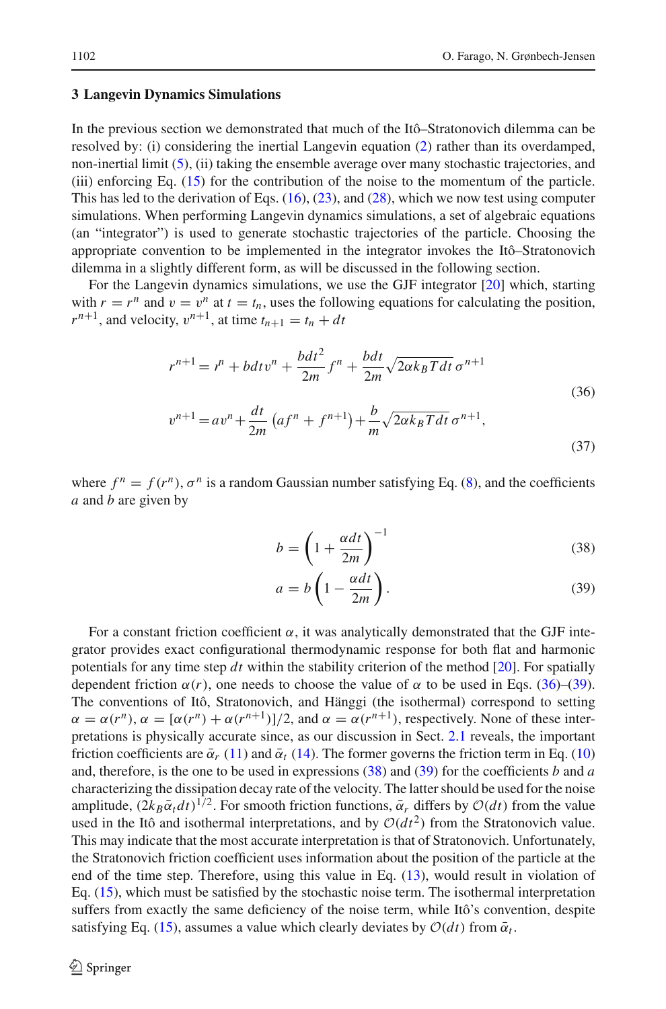## <span id="page-9-0"></span>**3 Langevin Dynamics Simulations**

In the previous section we demonstrated that much of the Itô–Stratonovich dilemma can be resolved by: (i) considering the inertial Langevin equation [\(2\)](#page-1-0) rather than its overdamped, non-inertial limit  $(5)$ , (ii) taking the ensemble average over many stochastic trajectories, and (iii) enforcing Eq. [\(15\)](#page-5-4) for the contribution of the noise to the momentum of the particle. This has led to the derivation of Eqs.  $(16)$ ,  $(23)$ , and  $(28)$ , which we now test using computer simulations. When performing Langevin dynamics simulations, a set of algebraic equations (an "integrator") is used to generate stochastic trajectories of the particle. Choosing the appropriate convention to be implemented in the integrator invokes the Itô–Stratonovich dilemma in a slightly different form, as will be discussed in the following section.

<span id="page-9-1"></span>For the Langevin dynamics simulations, we use the GJF integrator [\[20](#page-17-9)] which, starting with  $r = r^n$  and  $v = v^n$  at  $t = t_n$ , uses the following equations for calculating the position,  $r^{n+1}$ , and velocity,  $v^{n+1}$ , at time  $t_{n+1} = t_n + dt$ 

$$
r^{n+1} = r^n + bdt v^n + \frac{bdt^2}{2m} f^n + \frac{bdt}{2m} \sqrt{2\alpha k_B T dt} \sigma^{n+1}
$$
  
(36)  

$$
v^{n+1} = av^n + \frac{dt}{2m} (af^n + f^{n+1}) + \frac{b}{m} \sqrt{2\alpha k_B T dt} \sigma^{n+1},
$$
  
(37)

where  $f^n = f(r^n)$ ,  $\sigma^n$  is a random Gaussian number satisfying Eq. [\(8\)](#page-2-0), and the coefficients *a* and *b* are given by

<span id="page-9-2"></span>
$$
b = \left(1 + \frac{\alpha dt}{2m}\right)^{-1} \tag{38}
$$

$$
a = b \left( 1 - \frac{\alpha dt}{2m} \right). \tag{39}
$$

For a constant friction coefficient  $\alpha$ , it was analytically demonstrated that the GJF integrator provides exact configurational thermodynamic response for both flat and harmonic potentials for any time step *dt* within the stability criterion of the method [\[20\]](#page-17-9). For spatially dependent friction  $\alpha(r)$ , one needs to choose the value of  $\alpha$  to be used in Eqs. [\(36\)](#page-9-1)–[\(39\)](#page-9-2). The conventions of Itô, Stratonovich, and Hänggi (the isothermal) correspond to setting  $\alpha = \alpha(r^n)$ ,  $\alpha = [\alpha(r^n) + \alpha(r^{n+1})]/2$ , and  $\alpha = \alpha(r^{n+1})$ , respectively. None of these interpretations is physically accurate since, as our discussion in Sect. [2.1](#page-3-0) reveals, the important friction coefficients are  $\bar{\alpha}_r$  [\(11\)](#page-4-1) and  $\bar{\alpha}_t$  [\(14\)](#page-4-0). The former governs the friction term in Eq. [\(10\)](#page-3-2) and, therefore, is the one to be used in expressions [\(38\)](#page-9-2) and [\(39\)](#page-9-2) for the coefficients *b* and *a* characterizing the dissipation decay rate of the velocity. The latter should be used for the noise amplitude,  $(2k_B\bar{\alpha}_t dt)^{1/2}$ . For smooth friction functions,  $\bar{\alpha}_r$  differs by  $\mathcal{O}(dt)$  from the value used in the Itô and isothermal interpretations, and by  $O(dt^2)$  from the Stratonovich value. This may indicate that the most accurate interpretation is that of Stratonovich. Unfortunately, the Stratonovich friction coefficient uses information about the position of the particle at the end of the time step. Therefore, using this value in Eq. [\(13\)](#page-4-3), would result in violation of Eq. [\(15\)](#page-5-4), which must be satisfied by the stochastic noise term. The isothermal interpretation suffers from exactly the same deficiency of the noise term, while Itô's convention, despite satisfying Eq. [\(15\)](#page-5-4), assumes a value which clearly deviates by  $O(dt)$  from  $\bar{\alpha}_t$ .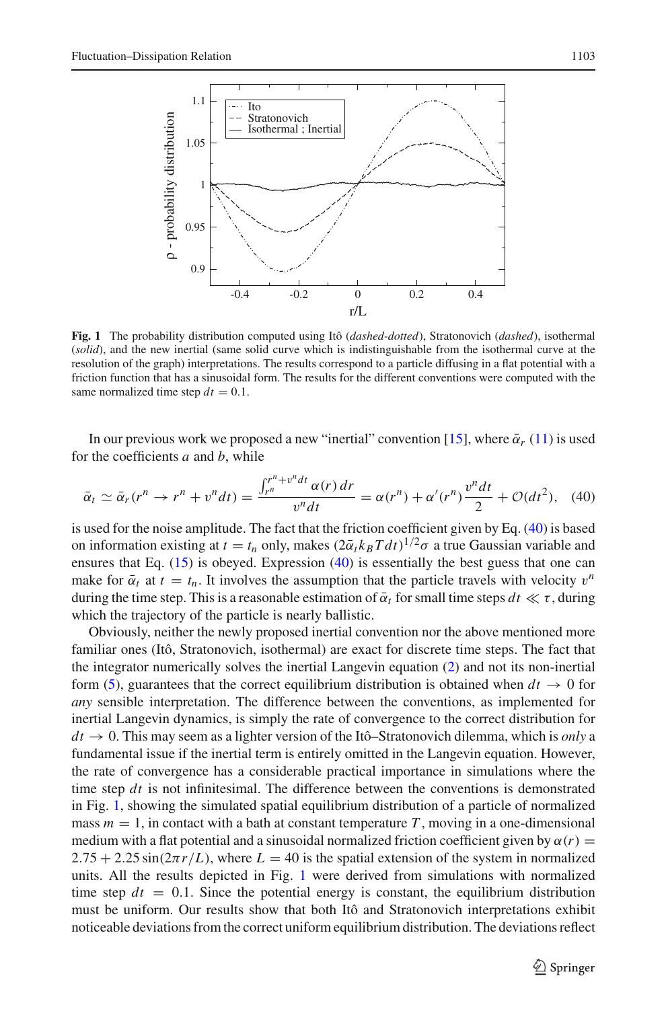

<span id="page-10-1"></span>**Fig. 1** The probability distribution computed using Itô (*dashed-dotted*), Stratonovich (*dashed*), isothermal (*solid*), and the new inertial (same solid curve which is indistinguishable from the isothermal curve at the resolution of the graph) interpretations. The results correspond to a particle diffusing in a flat potential with a friction function that has a sinusoidal form. The results for the different conventions were computed with the same normalized time step  $dt = 0.1$ .

In our previous work we proposed a new "inertial" convention [\[15\]](#page-17-4), where  $\bar{\alpha}_r$  [\(11\)](#page-4-1) is used for the coefficients *a* and *b*, while

$$
\bar{\alpha}_t \simeq \bar{\alpha}_r(r^n \to r^n + v^n dt) = \frac{\int_{r^n}^{r^n + v^n dt} \alpha(r) dr}{v^n dt} = \alpha(r^n) + \alpha'(r^n) \frac{v^n dt}{2} + \mathcal{O}(dt^2), \quad (40)
$$

<span id="page-10-0"></span>is used for the noise amplitude. The fact that the friction coefficient given by Eq. [\(40\)](#page-10-0) is based on information existing at  $t = t_n$  only, makes  $(2\bar{\alpha}_t k_B T dt)^{1/2} \sigma$  a true Gaussian variable and ensures that Eq.  $(15)$  is obeyed. Expression  $(40)$  is essentially the best guess that one can make for  $\bar{\alpha}_t$  at  $t = t_n$ . It involves the assumption that the particle travels with velocity  $v^n$ during the time step. This is a reasonable estimation of  $\bar{\alpha}_t$  for small time steps  $dt \ll \tau$ , during which the trajectory of the particle is nearly ballistic.

Obviously, neither the newly proposed inertial convention nor the above mentioned more familiar ones (Itô, Stratonovich, isothermal) are exact for discrete time steps. The fact that the integrator numerically solves the inertial Langevin equation [\(2\)](#page-1-0) and not its non-inertial form [\(5\)](#page-1-3), guarantees that the correct equilibrium distribution is obtained when  $dt \rightarrow 0$  for *any* sensible interpretation. The difference between the conventions, as implemented for inertial Langevin dynamics, is simply the rate of convergence to the correct distribution for  $dt \rightarrow 0$ . This may seem as a lighter version of the Itô–Stratonovich dilemma, which is *only* a fundamental issue if the inertial term is entirely omitted in the Langevin equation. However, the rate of convergence has a considerable practical importance in simulations where the time step *dt* is not infinitesimal. The difference between the conventions is demonstrated in Fig. [1,](#page-10-1) showing the simulated spatial equilibrium distribution of a particle of normalized mass  $m = 1$ , in contact with a bath at constant temperature  $T$ , moving in a one-dimensional medium with a flat potential and a sinusoidal normalized friction coefficient given by  $\alpha(r)$  =  $2.75 + 2.25 \sin(2\pi r/L)$ , where  $L = 40$  is the spatial extension of the system in normalized units. All the results depicted in Fig. [1](#page-10-1) were derived from simulations with normalized time step  $dt = 0.1$ . Since the potential energy is constant, the equilibrium distribution must be uniform. Our results show that both Itô and Stratonovich interpretations exhibit noticeable deviations from the correct uniform equilibrium distribution. The deviations reflect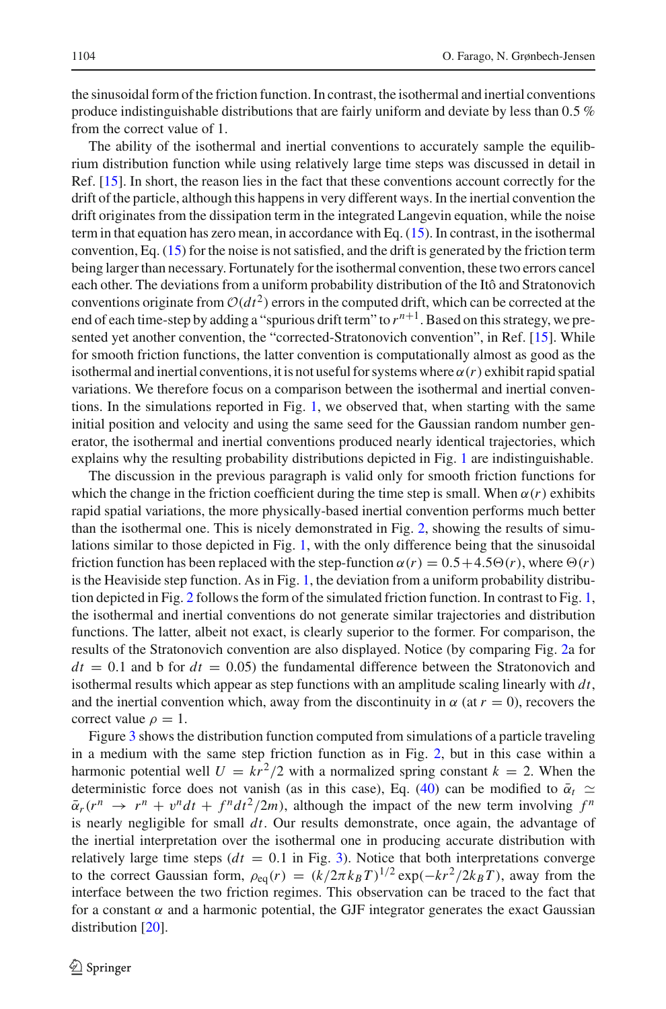the sinusoidal form of the friction function. In contrast, the isothermal and inertial conventions produce indistinguishable distributions that are fairly uniform and deviate by less than 0.5 % from the correct value of 1.

The ability of the isothermal and inertial conventions to accurately sample the equilibrium distribution function while using relatively large time steps was discussed in detail in Ref. [\[15](#page-17-4)]. In short, the reason lies in the fact that these conventions account correctly for the drift of the particle, although this happens in very different ways. In the inertial convention the drift originates from the dissipation term in the integrated Langevin equation, while the noise term in that equation has zero mean, in accordance with Eq. [\(15\)](#page-5-4). In contrast, in the isothermal convention, Eq. [\(15\)](#page-5-4) for the noise is not satisfied, and the drift is generated by the friction term being larger than necessary. Fortunately for the isothermal convention, these two errors cancel each other. The deviations from a uniform probability distribution of the Itô and Stratonovich conventions originate from  $O(dt^2)$  errors in the computed drift, which can be corrected at the end of each time-step by adding a "spurious drift term" to  $r^{n+1}$ . Based on this strategy, we pre-sented yet another convention, the "corrected-Stratonovich convention", in Ref. [\[15](#page-17-4)]. While for smooth friction functions, the latter convention is computationally almost as good as the isothermal and inertial conventions, it is not useful for systems where  $\alpha(r)$  exhibit rapid spatial variations. We therefore focus on a comparison between the isothermal and inertial conventions. In the simulations reported in Fig. [1,](#page-10-1) we observed that, when starting with the same initial position and velocity and using the same seed for the Gaussian random number generator, the isothermal and inertial conventions produced nearly identical trajectories, which explains why the resulting probability distributions depicted in Fig. [1](#page-10-1) are indistinguishable.

The discussion in the previous paragraph is valid only for smooth friction functions for which the change in the friction coefficient during the time step is small. When  $\alpha(r)$  exhibits rapid spatial variations, the more physically-based inertial convention performs much better than the isothermal one. This is nicely demonstrated in Fig. [2,](#page-12-0) showing the results of simulations similar to those depicted in Fig. [1,](#page-10-1) with the only difference being that the sinusoidal friction function has been replaced with the step-function  $\alpha(r) = 0.5 + 4.5\Theta(r)$ , where  $\Theta(r)$ is the Heaviside step function. As in Fig. [1,](#page-10-1) the deviation from a uniform probability distribution depicted in Fig. [2](#page-12-0) follows the form of the simulated friction function. In contrast to Fig. [1,](#page-10-1) the isothermal and inertial conventions do not generate similar trajectories and distribution functions. The latter, albeit not exact, is clearly superior to the former. For comparison, the results of the Stratonovich convention are also displayed. Notice (by comparing Fig. [2a](#page-12-0) for  $dt = 0.1$  and b for  $dt = 0.05$ ) the fundamental difference between the Stratonovich and isothermal results which appear as step functions with an amplitude scaling linearly with *dt*, and the inertial convention which, away from the discontinuity in  $\alpha$  (at  $r = 0$ ), recovers the correct value  $\rho = 1$ .

Figure [3](#page-13-0) shows the distribution function computed from simulations of a particle traveling in a medium with the same step friction function as in Fig. [2,](#page-12-0) but in this case within a harmonic potential well  $U = kr^2/2$  with a normalized spring constant  $k = 2$ . When the deterministic force does not vanish (as in this case), Eq. [\(40\)](#page-10-0) can be modified to  $\bar{\alpha}_t$   $\approx$  $\bar{\alpha}_r(r^n \rightarrow r^n + v^n dt + f^n dt^2/2m)$ , although the impact of the new term involving  $f^n$ is nearly negligible for small *dt*. Our results demonstrate, once again, the advantage of the inertial interpretation over the isothermal one in producing accurate distribution with relatively large time steps  $(dt = 0.1$  in Fig. [3\)](#page-13-0). Notice that both interpretations converge to the correct Gaussian form,  $\rho_{eq}(r) = (k/2\pi k_BT)^{1/2} \exp(-kr^2/2k_BT)$ , away from the interface between the two friction regimes. This observation can be traced to the fact that for a constant  $\alpha$  and a harmonic potential, the GJF integrator generates the exact Gaussian distribution [\[20\]](#page-17-9).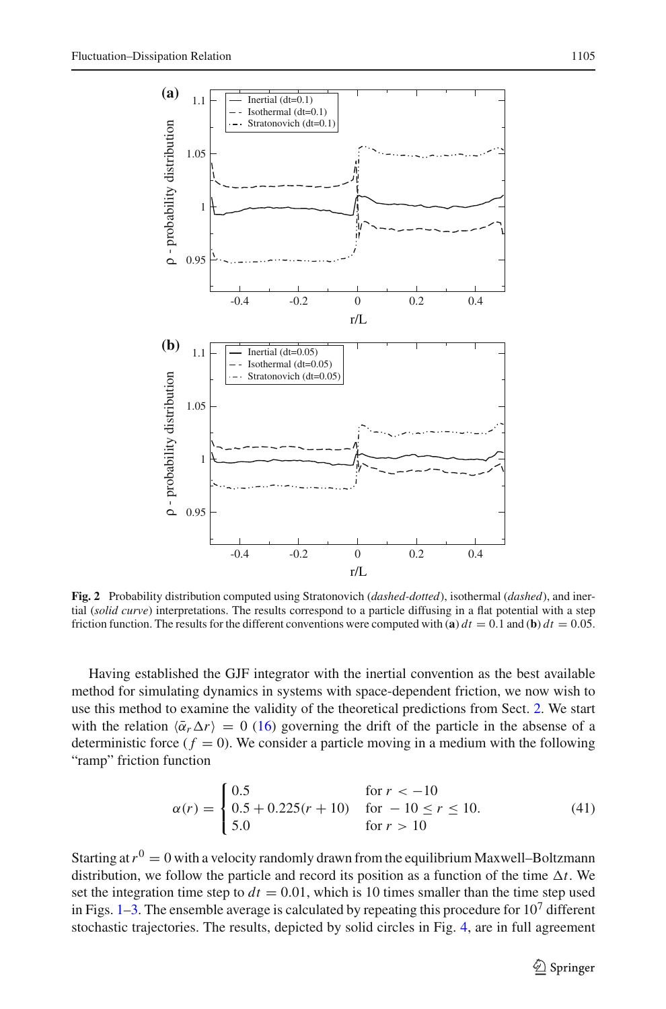

<span id="page-12-0"></span>**Fig. 2** Probability distribution computed using Stratonovich (*dashed-dotted*), isothermal (*dashed*), and inertial (*solid curve*) interpretations. The results correspond to a particle diffusing in a flat potential with a step friction function. The results for the different conventions were computed with (**a**)  $dt = 0.1$  and (**b**)  $dt = 0.05$ .

Having established the GJF integrator with the inertial convention as the best available method for simulating dynamics in systems with space-dependent friction, we now wish to use this method to examine the validity of the theoretical predictions from Sect. [2.](#page-3-1) We start with the relation  $\langle \bar{\alpha}_r \Delta r \rangle = 0$  [\(16\)](#page-5-0) governing the drift of the particle in the absense of a deterministic force  $(f = 0)$ . We consider a particle moving in a medium with the following "ramp" friction function

$$
\alpha(r) = \begin{cases}\n0.5 & \text{for } r < -10 \\
0.5 + 0.225(r + 10) & \text{for } -10 \le r \le 10. \\
5.0 & \text{for } r > 10\n\end{cases}
$$
\n(41)

<span id="page-12-1"></span>Starting at  $r^0 = 0$  with a velocity randomly drawn from the equilibrium Maxwell–Boltzmann distribution, we follow the particle and record its position as a function of the time  $\Delta t$ . We set the integration time step to  $dt = 0.01$ , which is 10 times smaller than the time step used in Figs.  $1-3$  $1-3$ . The ensemble average is calculated by repeating this procedure for  $10<sup>7</sup>$  different stochastic trajectories. The results, depicted by solid circles in Fig. [4,](#page-13-1) are in full agreement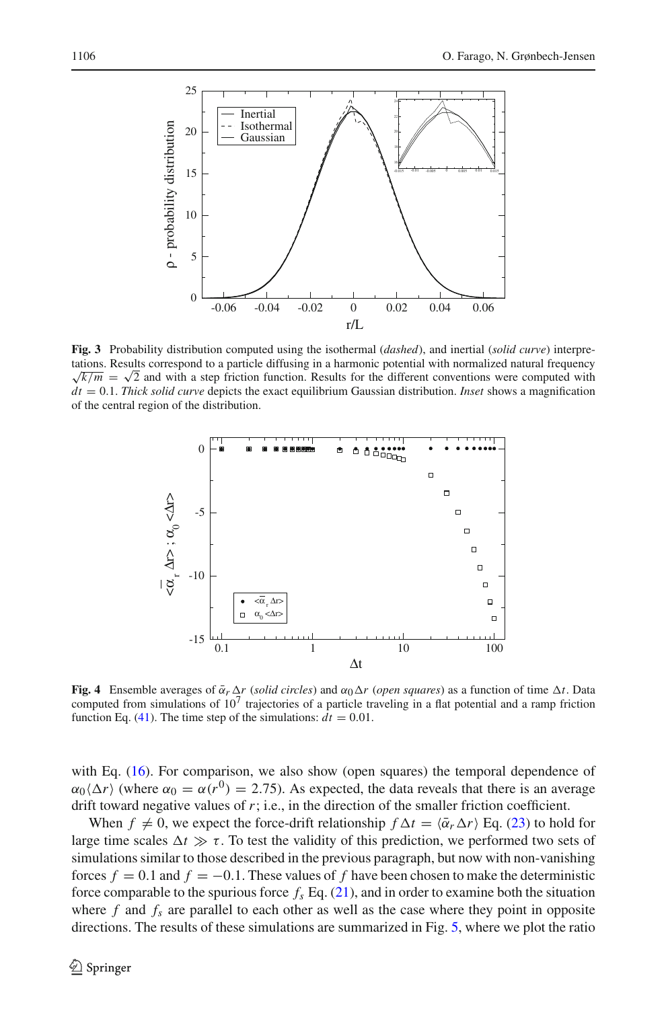

<span id="page-13-0"></span>**Fig. 3** Probability distribution computed using the isothermal (*dashed*), and inertial (*solid curve*) interpretations. Results correspond to a particle diffusing in a harmonic potential with normalized natural frequency  $\sqrt{k/m} = \sqrt{2}$  and with a step friction function. Results for the different conventions were computed with *dt* = 0.1. *Thick solid curve* depicts the exact equilibrium Gaussian distribution. *Inset* shows a magnification of the central region of the distribution.



<span id="page-13-1"></span>**Fig. 4** Ensemble averages of  $\bar{\alpha}_r \Delta r$  (*solid circles*) and  $\alpha_0 \Delta r$  (*open squares*) as a function of time  $\Delta t$ . Data computed from simulations of  $10<sup>7</sup>$  trajectories of a particle traveling in a flat potential and a ramp friction function Eq. [\(41\)](#page-12-1). The time step of the simulations:  $dt = 0.01$ .

with Eq. [\(16\)](#page-5-0). For comparison, we also show (open squares) the temporal dependence of  $\alpha_0 \langle \Delta r \rangle$  (where  $\alpha_0 = \alpha(r^0) = 2.75$ ). As expected, the data reveals that there is an average drift toward negative values of *r*; i.e., in the direction of the smaller friction coefficient.

When  $f \neq 0$ , we expect the force-drift relationship  $f \Delta t = \langle \bar{\alpha}_r \Delta r \rangle$  Eq. [\(23\)](#page-6-1) to hold for large time scales  $\Delta t \gg \tau$ . To test the validity of this prediction, we performed two sets of simulations similar to those described in the previous paragraph, but now with non-vanishing forces  $f = 0.1$  and  $f = -0.1$ . These values of f have been chosen to make the deterministic force comparable to the spurious force  $f_s$  Eq.  $(21)$ , and in order to examine both the situation where  $f$  and  $f_s$  are parallel to each other as well as the case where they point in opposite directions. The results of these simulations are summarized in Fig. [5,](#page-14-0) where we plot the ratio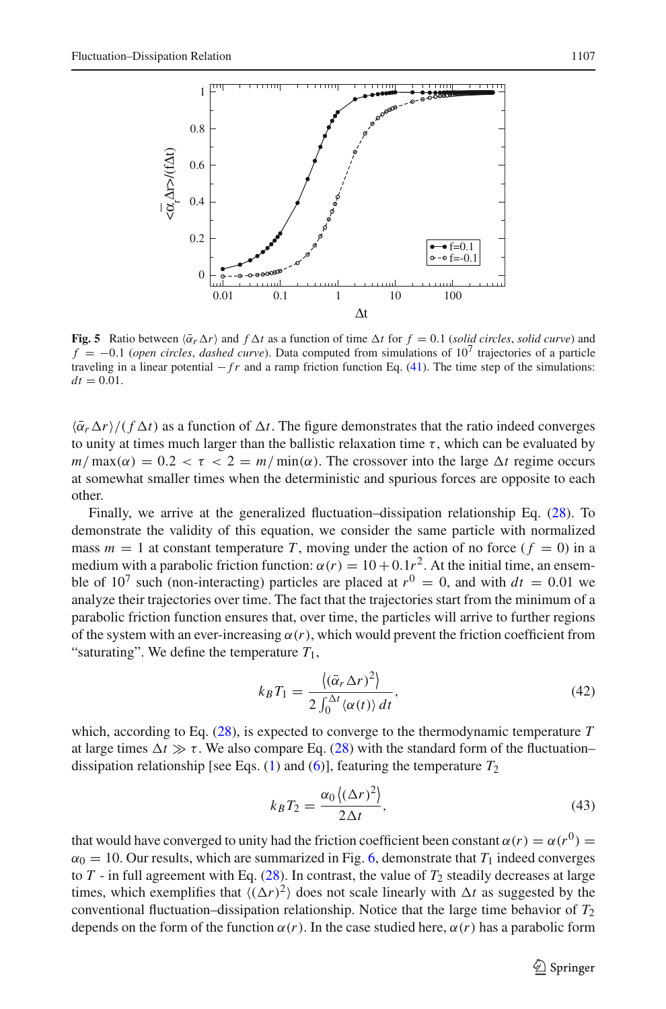

<span id="page-14-0"></span>**Fig. 5** Ratio between  $\langle \bar{\alpha}_r \Delta r \rangle$  and  $f \Delta t$  as a function of time  $\Delta t$  for  $f = 0.1$  (*solid circles, solid curve*) and  $f = -0.1$  (*open circles, dashed curve*). Data computed from simulations of  $10<sup>7</sup>$  trajectories of a particle traveling in a linear potential  $-fr$  and a ramp friction function Eq. [\(41\)](#page-12-1). The time step of the simulations:  $dt = 0.01$ .

 $\langle \bar{\alpha}_r \Delta r \rangle / (f \Delta t)$  as a function of  $\Delta t$ . The figure demonstrates that the ratio indeed converges to unity at times much larger than the ballistic relaxation time  $\tau$ , which can be evaluated by  $m/\max(\alpha) = 0.2 < \tau < 2 = m/\min(\alpha)$ . The crossover into the large  $\Delta t$  regime occurs at somewhat smaller times when the deterministic and spurious forces are opposite to each other.

Finally, we arrive at the generalized fluctuation–dissipation relationship Eq. [\(28\)](#page-7-1). To demonstrate the validity of this equation, we consider the same particle with normalized mass  $m = 1$  at constant temperature T, moving under the action of no force ( $f = 0$ ) in a medium with a parabolic friction function:  $\alpha(r) = 10 + 0.1r^2$ . At the initial time, an ensemble of 10<sup>7</sup> such (non-interacting) particles are placed at  $r^0 = 0$ , and with  $dt = 0.01$  we analyze their trajectories over time. The fact that the trajectories start from the minimum of a parabolic friction function ensures that, over time, the particles will arrive to further regions of the system with an ever-increasing  $\alpha(r)$ , which would prevent the friction coefficient from "saturating". We define the temperature  $T_1$ ,

$$
k_B T_1 = \frac{\langle (\bar{\alpha}_r \Delta r)^2 \rangle}{2 \int_0^{\Delta t} \langle \alpha(t) \rangle dt},\tag{42}
$$

<span id="page-14-1"></span>which, according to Eq. [\(28\)](#page-7-1), is expected to converge to the thermodynamic temperature *T* at large times  $\Delta t \gg \tau$ . We also compare Eq. [\(28\)](#page-7-1) with the standard form of the fluctuation– dissipation relationship [see Eqs.  $(1)$  and  $(6)$ ], featuring the temperature  $T_2$ 

$$
k_B T_2 = \frac{\alpha_0 \left( (\Delta r)^2 \right)}{2\Delta t},\tag{43}
$$

<span id="page-14-2"></span>that would have converged to unity had the friction coefficient been constant  $\alpha(r) = \alpha(r^0)$  $\alpha_0 = 10$ . Our results, which are summarized in Fig. [6,](#page-15-1) demonstrate that  $T_1$  indeed converges to  $T$  - in full agreement with Eq. [\(28\)](#page-7-1). In contrast, the value of  $T_2$  steadily decreases at large times, which exemplifies that  $\langle (\Delta r)^2 \rangle$  does not scale linearly with  $\Delta t$  as suggested by the conventional fluctuation–dissipation relationship. Notice that the large time behavior of  $T_2$ depends on the form of the function  $\alpha(r)$ . In the case studied here,  $\alpha(r)$  has a parabolic form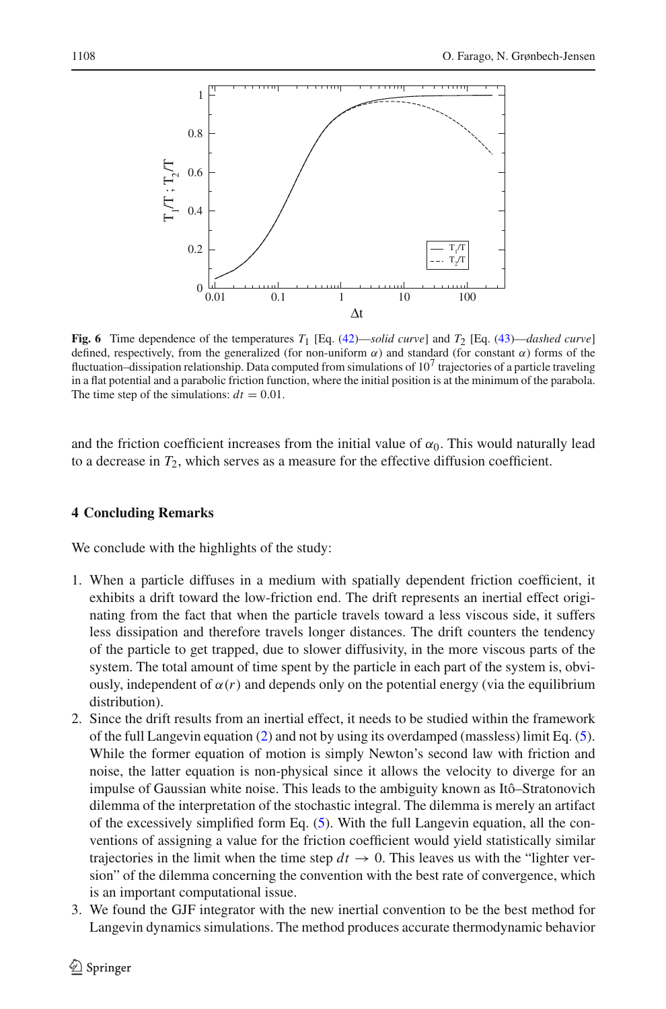

<span id="page-15-1"></span>**Fig. 6** Time dependence of the temperatures  $T_1$  [Eq. [\(42\)](#page-14-1)—*solid curve*] and  $T_2$  [Eq. [\(43\)](#page-14-2)—*dashed curve*] defined, respectively, from the generalized (for non-uniform  $\alpha$ ) and standard (for constant  $\alpha$ ) forms of the fluctuation–dissipation relationship. Data computed from simulations of  $10<sup>7</sup>$  trajectories of a particle traveling in a flat potential and a parabolic friction function, where the initial position is at the minimum of the parabola. The time step of the simulations:  $dt = 0.01$ .

and the friction coefficient increases from the initial value of  $\alpha_0$ . This would naturally lead to a decrease in *T*2, which serves as a measure for the effective diffusion coefficient.

## <span id="page-15-0"></span>**4 Concluding Remarks**

We conclude with the highlights of the study:

- 1. When a particle diffuses in a medium with spatially dependent friction coefficient, it exhibits a drift toward the low-friction end. The drift represents an inertial effect originating from the fact that when the particle travels toward a less viscous side, it suffers less dissipation and therefore travels longer distances. The drift counters the tendency of the particle to get trapped, due to slower diffusivity, in the more viscous parts of the system. The total amount of time spent by the particle in each part of the system is, obviously, independent of  $\alpha(r)$  and depends only on the potential energy (via the equilibrium distribution).
- 2. Since the drift results from an inertial effect, it needs to be studied within the framework of the full Langevin equation [\(2\)](#page-1-0) and not by using its overdamped (massless) limit Eq. [\(5\)](#page-1-3). While the former equation of motion is simply Newton's second law with friction and noise, the latter equation is non-physical since it allows the velocity to diverge for an impulse of Gaussian white noise. This leads to the ambiguity known as Itô–Stratonovich dilemma of the interpretation of the stochastic integral. The dilemma is merely an artifact of the excessively simplified form Eq. [\(5\)](#page-1-3). With the full Langevin equation, all the conventions of assigning a value for the friction coefficient would yield statistically similar trajectories in the limit when the time step  $dt \rightarrow 0$ . This leaves us with the "lighter version" of the dilemma concerning the convention with the best rate of convergence, which is an important computational issue.
- 3. We found the GJF integrator with the new inertial convention to be the best method for Langevin dynamics simulations. The method produces accurate thermodynamic behavior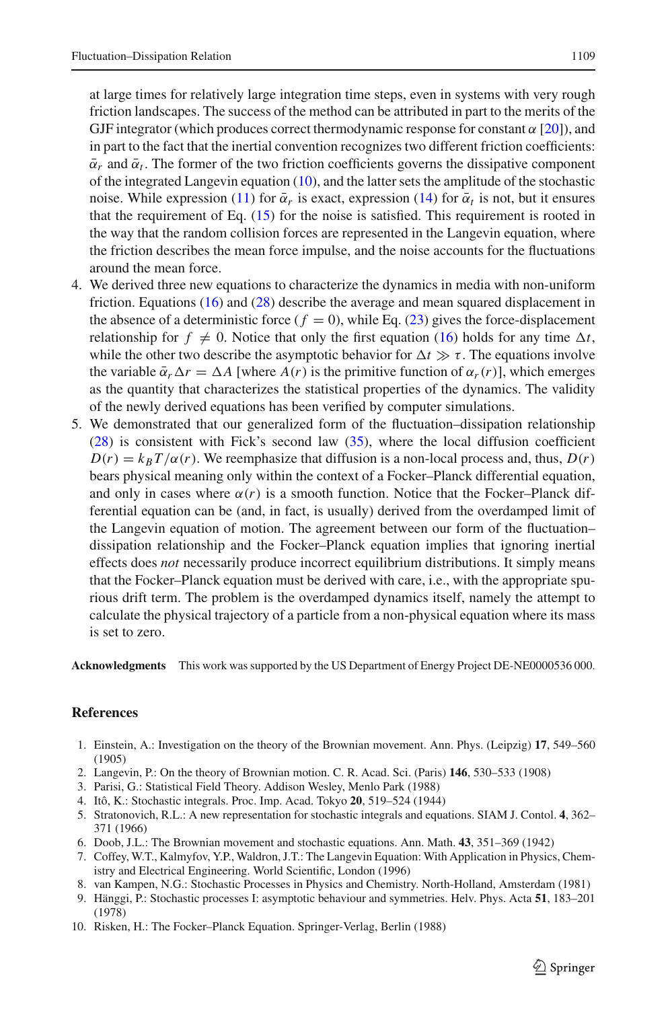at large times for relatively large integration time steps, even in systems with very rough friction landscapes. The success of the method can be attributed in part to the merits of the GJF integrator (which produces correct thermodynamic response for constant  $\alpha$  [\[20\]](#page-17-9)), and in part to the fact that the inertial convention recognizes two different friction coefficients:  $\bar{\alpha}_r$  and  $\bar{\alpha}_t$ . The former of the two friction coefficients governs the dissipative component of the integrated Langevin equation [\(10\)](#page-3-2), and the latter sets the amplitude of the stochastic noise. While expression [\(11\)](#page-4-1) for  $\bar{\alpha}_r$  is exact, expression [\(14\)](#page-4-0) for  $\bar{\alpha}_t$  is not, but it ensures that the requirement of Eq. [\(15\)](#page-5-4) for the noise is satisfied. This requirement is rooted in the way that the random collision forces are represented in the Langevin equation, where the friction describes the mean force impulse, and the noise accounts for the fluctuations around the mean force.

- 4. We derived three new equations to characterize the dynamics in media with non-uniform friction. Equations [\(16\)](#page-5-0) and [\(28\)](#page-7-1) describe the average and mean squared displacement in the absence of a deterministic force  $(f = 0)$ , while Eq. [\(23\)](#page-6-1) gives the force-displacement relationship for  $f \neq 0$ . Notice that only the first equation [\(16\)](#page-5-0) holds for any time  $\Delta t$ , while the other two describe the asymptotic behavior for  $\Delta t \gg \tau$ . The equations involve the variable  $\bar{\alpha}_r \Delta r = \Delta A$  [where  $A(r)$  is the primitive function of  $\alpha_r(r)$ ], which emerges as the quantity that characterizes the statistical properties of the dynamics. The validity of the newly derived equations has been verified by computer simulations.
- 5. We demonstrated that our generalized form of the fluctuation–dissipation relationship [\(28\)](#page-7-1) is consistent with Fick's second law [\(35\)](#page-8-4), where the local diffusion coefficient  $D(r) = k_B T/\alpha(r)$ . We reemphasize that diffusion is a non-local process and, thus,  $D(r)$ bears physical meaning only within the context of a Focker–Planck differential equation, and only in cases where  $\alpha(r)$  is a smooth function. Notice that the Focker–Planck differential equation can be (and, in fact, is usually) derived from the overdamped limit of the Langevin equation of motion. The agreement between our form of the fluctuation– dissipation relationship and the Focker–Planck equation implies that ignoring inertial effects does *not* necessarily produce incorrect equilibrium distributions. It simply means that the Focker–Planck equation must be derived with care, i.e., with the appropriate spurious drift term. The problem is the overdamped dynamics itself, namely the attempt to calculate the physical trajectory of a particle from a non-physical equation where its mass is set to zero.

**Acknowledgments** This work was supported by the US Department of Energy Project DE-NE0000536 000.

## **References**

- <span id="page-16-0"></span>1. Einstein, A.: Investigation on the theory of the Brownian movement. Ann. Phys. (Leipzig) **17**, 549–560 (1905)
- <span id="page-16-1"></span>2. Langevin, P.: On the theory of Brownian motion. C. R. Acad. Sci. (Paris) **146**, 530–533 (1908)
- 3. Parisi, G.: Statistical Field Theory. Addison Wesley, Menlo Park (1988)
- <span id="page-16-3"></span><span id="page-16-2"></span>4. Itô, K.: Stochastic integrals. Proc. Imp. Acad. Tokyo **20**, 519–524 (1944)
- <span id="page-16-4"></span>5. Stratonovich, R.L.: A new representation for stochastic integrals and equations. SIAM J. Contol. **4**, 362– 371 (1966)
- <span id="page-16-5"></span>6. Doob, J.L.: The Brownian movement and stochastic equations. Ann. Math. **43**, 351–369 (1942)
- <span id="page-16-6"></span>7. Coffey, W.T., Kalmyfov, Y.P., Waldron, J.T.: The Langevin Equation: With Application in Physics, Chemistry and Electrical Engineering. World Scientific, London (1996)
- 8. van Kampen, N.G.: Stochastic Processes in Physics and Chemistry. North-Holland, Amsterdam (1981)
- <span id="page-16-7"></span>9. Hänggi, P.: Stochastic processes I: asymptotic behaviour and symmetries. Helv. Phys. Acta **51**, 183–201 (1978)
- <span id="page-16-9"></span><span id="page-16-8"></span>10. Risken, H.: The Focker–Planck Equation. Springer-Verlag, Berlin (1988)